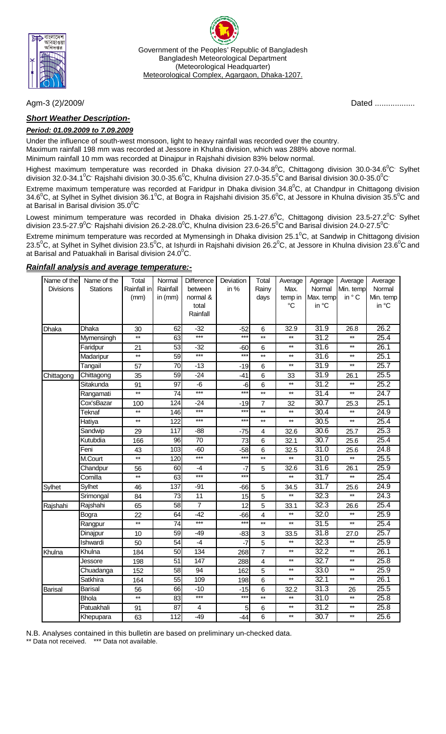

Government of the Peoples' Republic of Bangladesh Bangladesh Meteorological Department (Meteorological Headquarter) Meteorological Complex, Agargaon, Dhaka-1207.

## *Short Weather Description-*

### *Period: 01.09.2009 to 7.09.2009*

Under the influence of south-west monsoon, light to heavy rainfall was recorded over the country.

Maximum rainfall 198 mm was recorded at Jessore in Khulna division, which was 288% above normal.

Minimum rainfall 10 mm was recorded at Dinajpur in Rajshahi division 83% below normal.

Highest maximum temperature was recorded in Dhaka division 27.0-34.8<sup>0</sup>C, Chittagong division 30.0-34.6<sup>0</sup>C<sup>,</sup> Sylhet division 32.0-34.1<sup>o</sup>C<sup>,</sup> Rajshahi division 30.0-35.6<sup>o</sup>C, Khulna division 27.0-35.5<sup>o</sup>C and Barisal division 30.0-35.0<sup>o</sup>C

Extreme maximum temperature was recorded at Faridpur in Dhaka division 34.8<sup>0</sup>C, at Chandpur in Chittagong division 34.6<sup>0</sup>C, at Sylhet in Sylhet division 36.1<sup>0</sup>C, at Bogra in Rajshahi division 35.6<sup>0</sup>C, at Jessore in Khulna division 35.5<sup>0</sup>C and at Barisal in Barisal division 35.0 $\mathrm{^0C}$ 

Lowest minimum temperature was recorded in Dhaka division 25.1-27.6<sup>0</sup>C, Chittagong division 23.5-27.2<sup>0</sup>C<sup>,</sup> Sylhet division 23.5-27.9 $^0$ C<sup>,</sup> Rajshahi division 26.2-28.0 $^0$ C, Khulna division 23.6-26.5 $^0$ C and Barisal division 24.0-27.5 $^0$ C $^{\cdot}$ 

Extreme minimum temperature was recorded at Mymensingh in Dhaka division 25.1<sup>0</sup>C, at Sandwip in Chittagong division 23.5<sup>0</sup>C, at Sylhet in Sylhet division 23.5<sup>0</sup>C, at Ishurdi in Rajshahi division 26.2<sup>0</sup>C, at Jessore in Khulna division 23.6<sup>0</sup>C and at Barisal and Patuakhali in Barisal division 24.0 $\rm ^{0}C.$ 

#### *Rainfall analysis and average temperature:-*

| Name of the      | Name of the     | Total           | Normal   | Difference     | Deviation | Total                   | Average         | Agerage           | Average         | Average   |
|------------------|-----------------|-----------------|----------|----------------|-----------|-------------------------|-----------------|-------------------|-----------------|-----------|
| <b>Divisions</b> | <b>Stations</b> | Rainfall in     | Rainfall | between        | in %      | Rainy                   | Max.            | Normal            | Min. temp       | Normal    |
|                  |                 | (mm)            | in (mm)  | normal &       |           | days                    | temp in         | Max. temp         | in ° C          | Min. temp |
|                  |                 |                 |          | total          |           |                         | $\rm ^{\circ}C$ | in °C             |                 | in °C     |
|                  |                 |                 |          | Rainfall       |           |                         |                 |                   |                 |           |
| Dhaka            | Dhaka           | 30              | 62       | $-32$          | $-52$     | 6                       | 32.9            | $\overline{31.9}$ | 26.8            | 26.2      |
|                  | Mymensingh      | $^{\star\star}$ | 63       | $***$          | $***$     | $***$                   | $**$            | 31.2              | $^{\star\star}$ | 25.4      |
|                  | Faridpur        | 21              | 53       | $-32$          | $-60$     | 6                       | $***$           | 31.6              | $\star\star$    | 26.1      |
|                  | Madaripur       | $**$            | 59       | $***$          | $***$     | $\star\star$            | $***$           | 31.6              | $\star\star$    | 25.1      |
|                  | Tangail         | 57              | 70       | $-13$          | $-19$     | 6                       | $***$           | 31.9              | $\star\star$    | 25.7      |
| Chittagong       | Chittagong      | 35              | 59       | $-24$          | $-41$     | 6                       | 33              | 31.9              | 26.1            | 25.5      |
|                  | Sitakunda       | 91              | 97       | $-6$           | $-6$      | 6                       | $\star\star$    | 31.2              | $^{\star\star}$ | 25.2      |
|                  | Rangamati       | $***$           | 74       | $***$          | $***$     | $**$                    | $***$           | $\overline{31.4}$ | $^{\star\star}$ | 24.7      |
|                  | Cox'sBazar      | 100             | 124      | $-24$          | $-19$     | $\overline{7}$          | 32              | $\overline{30.7}$ | 25.3            | 25.1      |
|                  | Teknaf          | $***$           | 146      | $***$          | $***$     | $\star\star$            | $\star\star$    | 30.4              | $^{\star\star}$ | 24.9      |
|                  | Hatiya          | $\star\star$    | 122      | ***            | $***$     | $\star\star$            | $\star\star$    | $\overline{30.5}$ | $\star\star$    | 25.4      |
|                  | Sandwip         | 29              | 117      | $-88$          | $-75$     | $\overline{\mathbf{4}}$ | 32.6            | 30.6              | 25.7            | 25.3      |
|                  | Kutubdia        | 166             | 96       | 70             | 73        | 6                       | 32.1            | 30.7              | 25.6            | 25.4      |
|                  | Feni            | 43              | 103      | $-60$          | $-58$     | 6                       | 32.5            | $\overline{31.0}$ | 25.6            | 24.8      |
|                  | M.Court         | $\star\star$    | 120      | $***$          | $***$     | $\star\star$            | $\star\star$    | $\overline{31.0}$ | $\star\star$    | 25.5      |
|                  | Chandpur        | 56              | 60       | $-4$           | $-7$      | 5                       | 32.6            | 31.6              | 26.1            | 25.9      |
|                  | Comilla         | $\star\star$    | 63       | $***$          | $***$     |                         | $\star\star$    | 31.7              | $\star\star$    | 25.4      |
| Sylhet           | Sylhet          | 46              | 137      | $-91$          | $-66$     | 5                       | 34.5            | 31.7              | 25.6            | 24.9      |
|                  | Srimongal       | 84              | 73       | 11             | 15        | 5                       | $\star\star$    | 32.3              | $\star\star$    | 24.3      |
| Rajshahi         | Rajshahi        | 65              | 58       | $\overline{7}$ | 12        | 5                       | 33.1            | 32.3              | 26.6            | 25.4      |
|                  | Bogra           | 22              | 64       | $-42$          | $-66$     | 4                       | $\star\star$    | 32.0              | $\star\star$    | 25.9      |
|                  | Rangpur         | $\star\star$    | 74       | $***$          | $***$     | $\star\star$            | $^{\star\star}$ | $\overline{31.5}$ | $\star\star$    | 25.4      |
|                  | Dinajpur        | 10              | 59       | $-49$          | $-83$     | 3                       | 33.5            | 31.8              | 27.0            | 25.7      |
|                  | Ishwardi        | 50              | 54       | $-4$           | $-7$      | 5                       | $\star\star$    | 32.3              | $^{\star\star}$ | 25.9      |
| Khulna           | Khulna          | 184             | 50       | 134            | 268       | $\overline{7}$          | $\star\star$    | 32.2              | $\star\star$    | 26.1      |
|                  | Jessore         | 198             | 51       | 147            | 288       | $\overline{\mathbf{4}}$ | $\star\star$    | 32.7              | $^{\star\star}$ | 25.8      |
|                  | Chuadanga       | 152             | 58       | 94             | 162       | 5                       | $\star\star$    | 33.0              | $^{\star\star}$ | 25.9      |
|                  | Satkhira        | 164             | 55       | 109            | 198       | 6                       | $\star\star$    | 32.1              | $\star\star$    | 26.1      |
| <b>Barisal</b>   | <b>Barisal</b>  | 56              | 66       | $-10$          | $-15$     | 6                       | 32.2            | 31.3              | 26              | 25.5      |
|                  | <b>Bhola</b>    | $\star\star$    | 83       | $***$          | $***$     | $**$                    | $\star\star$    | $\overline{31.0}$ | $\star\star$    | 25.8      |
|                  | Patuakhali      | 91              | 87       | 4              | 5         | 6                       | $\star\star$    | $\overline{31.2}$ | $^{\star\star}$ | 25.8      |
|                  | Khepupara       | 63              | 112      | $-49$          | $-44$     | 6                       | $\star\star$    | 30.7              | $^{\star\star}$ | 25.6      |

N.B. Analyses contained in this bulletin are based on preliminary un-checked data.

Data not received. \*\*\* Data not available.

Agm-3 (2)/2009/ Dated ..................